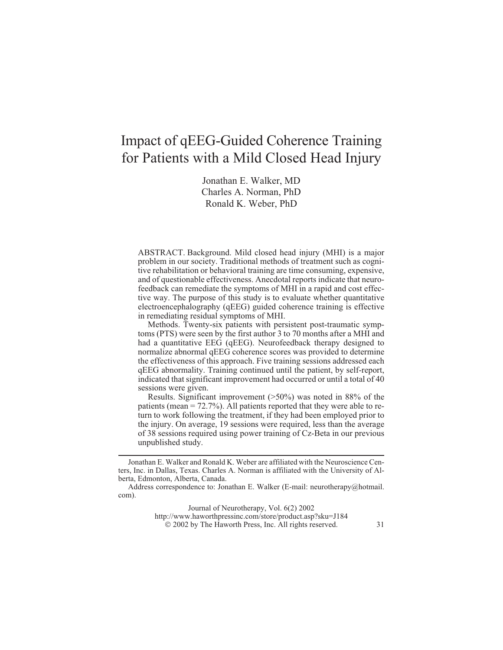# Impact of qEEG-Guided Coherence Training for Patients with a Mild Closed Head Injury

Jonathan E. Walker, MD Charles A. Norman, PhD Ronald K. Weber, PhD

**ABSTRACT.** *Background.* Mild closed head injury (MHI) is a major problem in our society. Traditional methods of treatment such as cognitive rehabilitation or behavioral training are time consuming, expensive, and of questionable effectiveness. Anecdotal reports indicate that neurofeedback can remediate the symptoms of MHI in a rapid and cost effective way. The purpose of this study is to evaluate whether quantitative electroencephalography (qEEG) guided coherence training is effective in remediating residual symptoms of MHI.

*Methods.* Twenty-six patients with persistent post-traumatic symptoms (PTS) were seen by the first author 3 to 70 months after a MHI and had a quantitative EEG (qEEG). Neurofeedback therapy designed to normalize abnormal qEEG coherence scores was provided to determine the effectiveness of this approach. Five training sessions addressed each qEEG abnormality. Training continued until the patient, by self-report, indicated that significant improvement had occurred or until a total of 40 sessions were given.

*Results.* Significant improvement (>50%) was noted in 88% of the patients (mean  $= 72.7\%$ ). All patients reported that they were able to return to work following the treatment, if they had been employed prior to the injury. On average, 19 sessions were required, less than the average of 38 sessions required using power training of Cz-Beta in our previous unpublished study.

Journal of Neurotherapy, Vol. 6(2) 2002 <http://www.haworthpressinc.com/store/product.asp?sku=J184> 2002 by The Haworth Press, Inc. All rights reserved. *31*

Jonathan E. Walker and Ronald K. Weber are affiliated with the Neuroscience Centers, Inc. in Dallas, Texas. Charles A. Norman is affiliated with the University of Alberta, Edmonton, Alberta, Canada.

Address correspondence to: Jonathan E. Walker (E-mail: neurotherapy@hotmail. com).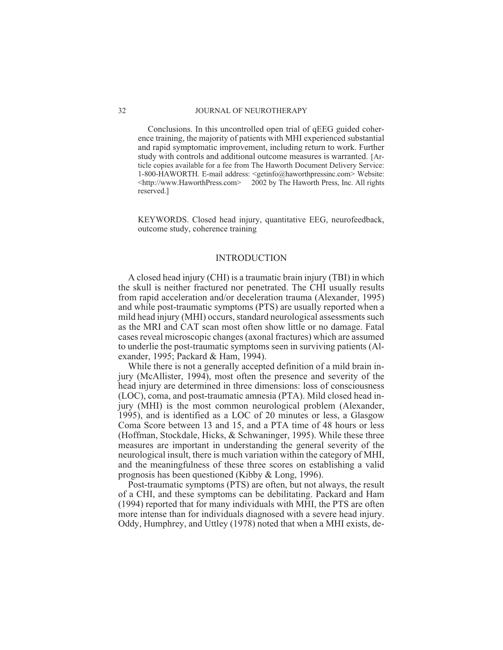*Conclusions.* In this uncontrolled open trial of qEEG guided coherence training, the majority of patients with MHI experienced substantial and rapid symptomatic improvement, including return to work. Further study with controls and additional outcome measures is warranted. *[Article copies available for a fee from The Haworth Document Delivery Service: 1-800-HAWORTH. E-mail address: <getinfo@haworthpressinc.com> Website: [<http://www.HaworthPress.com>](http://www.HaworthPress.com) 2002 by The Haworth Press, Inc. All rights reserved.]*

**KEYWORDS.** Closed head injury, quantitative EEG, neurofeedback, outcome study, coherence training

### *INTRODUCTION*

A closed head injury (CHI) is a traumatic brain injury (TBI) in which the skull is neither fractured nor penetrated. The CHI usually results from rapid acceleration and/or deceleration trauma (Alexander, 1995) and while post-traumatic symptoms (PTS) are usually reported when a mild head injury (MHI) occurs, standard neurological assessments such as the MRI and CAT scan most often show little or no damage. Fatal cases reveal microscopic changes (axonal fractures) which are assumed to underlie the post-traumatic symptoms seen in surviving patients (Alexander, 1995; Packard & Ham, 1994).

While there is not a generally accepted definition of a mild brain injury (McAllister, 1994), most often the presence and severity of the head injury are determined in three dimensions: loss of consciousness (LOC), coma, and post-traumatic amnesia (PTA). Mild closed head injury (MHI) is the most common neurological problem (Alexander, 1995), and is identified as a LOC of 20 minutes or less, a Glasgow Coma Score between 13 and 15, and a PTA time of 48 hours or less (Hoffman, Stockdale, Hicks, & Schwaninger, 1995). While these three measures are important in understanding the general severity of the neurological insult, there is much variation within the category of MHI, and the meaningfulness of these three scores on establishing a valid prognosis has been questioned (Kibby & Long, 1996).

Post-traumatic symptoms (PTS) are often, but not always, the result of a CHI, and these symptoms can be debilitating. Packard and Ham (1994) reported that for many individuals with MHI, the PTS are often more intense than for individuals diagnosed with a severe head injury. Oddy, Humphrey, and Uttley (1978) noted that when a MHI exists, de-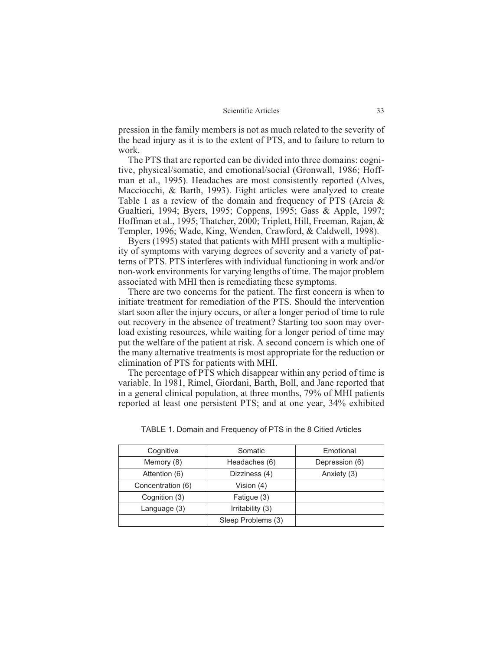pression in the family members is not as much related to the severity of the head injury as it is to the extent of PTS, and to failure to return to work.

The PTS that are reported can be divided into three domains: cognitive, physical/somatic, and emotional/social (Gronwall, 1986; Hoffman et al., 1995). Headaches are most consistently reported (Alves, Macciocchi, & Barth, 1993). Eight articles were analyzed to create Table 1 as a review of the domain and frequency of PTS (Arcia & Gualtieri, 1994; Byers, 1995; Coppens, 1995; Gass & Apple, 1997; Hoffman et al., 1995; Thatcher, 2000; Triplett, Hill, Freeman, Rajan, & Templer, 1996; Wade, King, Wenden, Crawford, & Caldwell, 1998).

Byers (1995) stated that patients with MHI present with a multiplicity of symptoms with varying degrees of severity and a variety of patterns of PTS. PTS interferes with individual functioning in work and/or non-work environments for varying lengths of time. The major problem associated with MHI then is remediating these symptoms.

There are two concerns for the patient. The first concern is when to initiate treatment for remediation of the PTS. Should the intervention start soon after the injury occurs, or after a longer period of time to rule out recovery in the absence of treatment? Starting too soon may overload existing resources, while waiting for a longer period of time may put the welfare of the patient at risk. A second concern is which one of the many alternative treatments is most appropriate for the reduction or elimination of PTS for patients with MHI.

The percentage of PTS which disappear within any period of time is variable. In 1981, Rimel, Giordani, Barth, Boll, and Jane reported that in a general clinical population, at three months, 79% of MHI patients reported at least one persistent PTS; and at one year, 34% exhibited

| Cognitive         | Somatic            | Emotional      |
|-------------------|--------------------|----------------|
| Memory (8)        | Headaches (6)      | Depression (6) |
| Attention (6)     | Dizziness (4)      | Anxiety (3)    |
| Concentration (6) | Vision (4)         |                |
| Cognition (3)     | Fatigue (3)        |                |
| Language (3)      | Irritability (3)   |                |
|                   | Sleep Problems (3) |                |

TABLE 1. Domain and Frequency of PTS in the 8 Citied Articles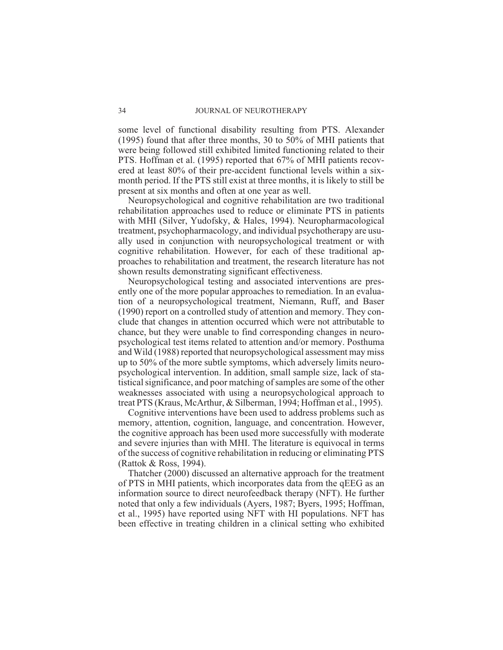some level of functional disability resulting from PTS. Alexander (1995) found that after three months, 30 to 50% of MHI patients that were being followed still exhibited limited functioning related to their PTS. Hoffman et al. (1995) reported that 67% of MHI patients recovered at least 80% of their pre-accident functional levels within a sixmonth period. If the PTS still exist at three months, it is likely to still be present at six months and often at one year as well.

Neuropsychological and cognitive rehabilitation are two traditional rehabilitation approaches used to reduce or eliminate PTS in patients with MHI (Silver, Yudofsky, & Hales, 1994). Neuropharmacological treatment, psychopharmacology, and individual psychotherapy are usually used in conjunction with neuropsychological treatment or with cognitive rehabilitation. However, for each of these traditional approaches to rehabilitation and treatment, the research literature has not shown results demonstrating significant effectiveness.

Neuropsychological testing and associated interventions are presently one of the more popular approaches to remediation. In an evaluation of a neuropsychological treatment, Niemann, Ruff, and Baser (1990) report on a controlled study of attention and memory. They conclude that changes in attention occurred which were not attributable to chance, but they were unable to find corresponding changes in neuropsychological test items related to attention and/or memory. Posthuma and Wild (1988) reported that neuropsychological assessment may miss up to 50% of the more subtle symptoms, which adversely limits neuropsychological intervention. In addition, small sample size, lack of statistical significance, and poor matching of samples are some of the other weaknesses associated with using a neuropsychological approach to treat PTS (Kraus, McArthur, & Silberman, 1994; Hoffman et al., 1995).

Cognitive interventions have been used to address problems such as memory, attention, cognition, language, and concentration. However, the cognitive approach has been used more successfully with moderate and severe injuries than with MHI. The literature is equivocal in terms of the success of cognitive rehabilitation in reducing or eliminating PTS (Rattok & Ross, 1994).

Thatcher (2000) discussed an alternative approach for the treatment of PTS in MHI patients, which incorporates data from the qEEG as an information source to direct neurofeedback therapy (NFT). He further noted that only a few individuals (Ayers, 1987; Byers, 1995; Hoffman, et al., 1995) have reported using NFT with HI populations. NFT has been effective in treating children in a clinical setting who exhibited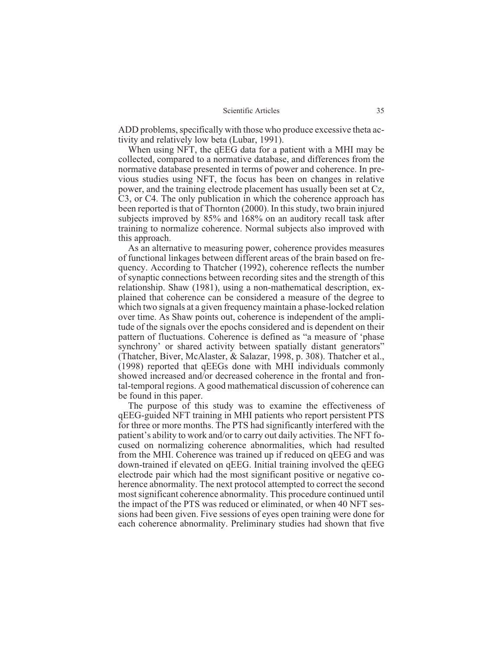ADD problems, specifically with those who produce excessive theta activity and relatively low beta (Lubar, 1991).

When using NFT, the qEEG data for a patient with a MHI may be collected, compared to a normative database, and differences from the normative database presented in terms of power and coherence. In previous studies using NFT, the focus has been on changes in relative power, and the training electrode placement has usually been set at Cz, C3, or C4. The only publication in which the coherence approach has been reported is that of Thornton (2000). In this study, two brain injured subjects improved by 85% and 168% on an auditory recall task after training to normalize coherence. Normal subjects also improved with this approach.

As an alternative to measuring power, coherence provides measures of functional linkages between different areas of the brain based on frequency. According to Thatcher (1992), coherence reflects the number of synaptic connections between recording sites and the strength of this relationship. Shaw (1981), using a non-mathematical description, explained that coherence can be considered a measure of the degree to which two signals at a given frequency maintain a phase-locked relation over time. As Shaw points out, coherence is independent of the amplitude of the signals over the epochs considered and is dependent on their pattern of fluctuations. Coherence is defined as "a measure of 'phase synchrony' or shared activity between spatially distant generators" (Thatcher, Biver, McAlaster, & Salazar, 1998, p. 308). Thatcher et al., (1998) reported that qEEGs done with MHI individuals commonly showed increased and/or decreased coherence in the frontal and frontal-temporal regions. A good mathematical discussion of coherence can be found in this paper.

The purpose of this study was to examine the effectiveness of qEEG-guided NFT training in MHI patients who report persistent PTS for three or more months. The PTS had significantly interfered with the patient's ability to work and/or to carry out daily activities. The NFT focused on normalizing coherence abnormalities, which had resulted from the MHI. Coherence was trained up if reduced on qEEG and was down-trained if elevated on qEEG. Initial training involved the qEEG electrode pair which had the most significant positive or negative coherence abnormality. The next protocol attempted to correct the second most significant coherence abnormality. This procedure continued until the impact of the PTS was reduced or eliminated, or when 40 NFT sessions had been given. Five sessions of eyes open training were done for each coherence abnormality. Preliminary studies had shown that five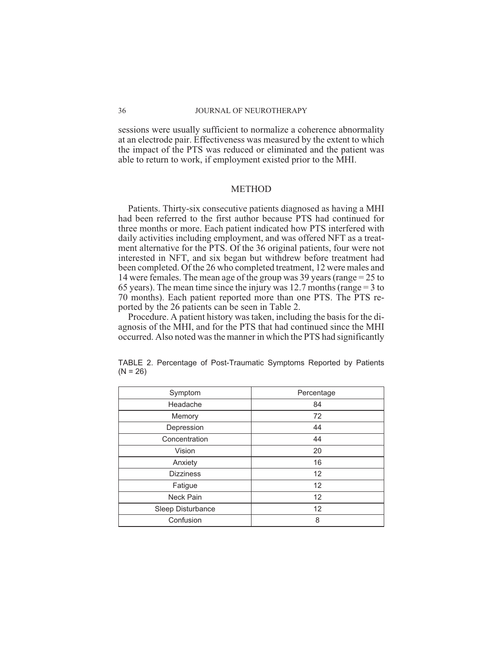sessions were usually sufficient to normalize a coherence abnormality at an electrode pair. Effectiveness was measured by the extent to which the impact of the PTS was reduced or eliminated and the patient was able to return to work, if employment existed prior to the MHI.

# *METHOD*

*Patients*. Thirty-six consecutive patients diagnosed as having a MHI had been referred to the first author because PTS had continued for three months or more. Each patient indicated how PTS interfered with daily activities including employment, and was offered NFT as a treatment alternative for the PTS. Of the 36 original patients, four were not interested in NFT, and six began but withdrew before treatment had been completed. Of the 26 who completed treatment, 12 were males and 14 were females. The mean age of the group was 39 years (range = 25 to 65 years). The mean time since the injury was 12.7 months (range = 3 to 70 months). Each patient reported more than one PTS. The PTS reported by the 26 patients can be seen in Table 2.

*Procedure*. A patient history was taken, including the basis for the diagnosis of the MHI, and for the PTS that had continued since the MHI occurred. Also noted was the manner in which the PTS had significantly

| Symptom           | Percentage |
|-------------------|------------|
| Headache          | 84         |
| Memory            | 72         |
| Depression        | 44         |
| Concentration     | 44         |
| Vision            | 20         |
| Anxiety           | 16         |
| <b>Dizziness</b>  | 12         |
| Fatigue           | 12         |
| Neck Pain         | 12         |
| Sleep Disturbance | 12         |
| Confusion         | 8          |

TABLE 2. Percentage of Post-Traumatic Symptoms Reported by Patients  $(N = 26)$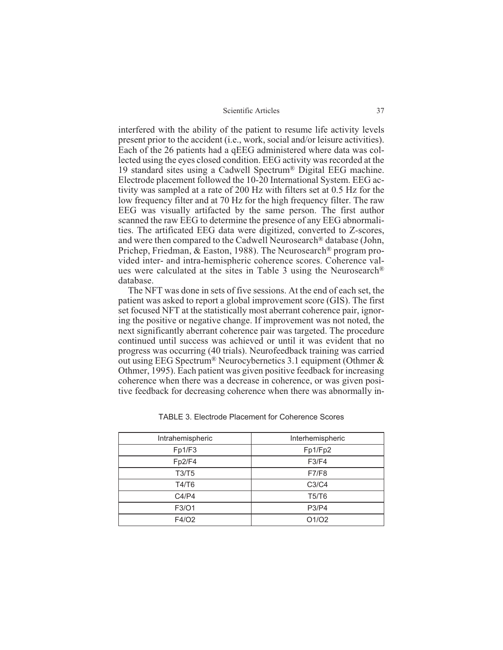interfered with the ability of the patient to resume life activity levels present prior to the accident (i.e., work, social and/or leisure activities). Each of the 26 patients had a qEEG administered where data was collected using the eyes closed condition. EEG activity was recorded at the 19 standard sites using a Cadwell Spectrum® Digital EEG machine. Electrode placement followed the 10-20 International System. EEG activity was sampled at a rate of 200 Hz with filters set at 0.5 Hz for the low frequency filter and at 70 Hz for the high frequency filter. The raw EEG was visually artifacted by the same person. The first author scanned the raw EEG to determine the presence of any EEG abnormalities. The artificated EEG data were digitized, converted to Z-scores, and were then compared to the Cadwell Neurosearch® database (John, Prichep, Friedman, & Easton, 1988). The Neurosearch® program provided inter- and intra-hemispheric coherence scores. Coherence values were calculated at the sites in Table 3 using the Neurosearch® database.

The NFT was done in sets of five sessions. At the end of each set, the patient was asked to report a global improvement score (GIS). The first set focused NFT at the statistically most aberrant coherence pair, ignoring the positive or negative change. If improvement was not noted, the next significantly aberrant coherence pair was targeted. The procedure continued until success was achieved or until it was evident that no progress was occurring (40 trials). Neurofeedback training was carried out using EEG Spectrum® Neurocybernetics 3.1 equipment (Othmer & Othmer, 1995). Each patient was given positive feedback for increasing coherence when there was a decrease in coherence, or was given positive feedback for decreasing coherence when there was abnormally in-

| Intrahemispheric | Interhemispheric |
|------------------|------------------|
| Fp1/F3           | Fp1/Fp2          |
| Fp2/F4           | F3/F4            |
| T3/T5            | <b>F7/F8</b>     |
| T4/T6            | C3/C4            |
| C4/P4            | T5/T6            |
| F3/O1            | <b>P3/P4</b>     |
| F4/02            | O1/O2            |

TABLE 3. Electrode Placement for Coherence Scores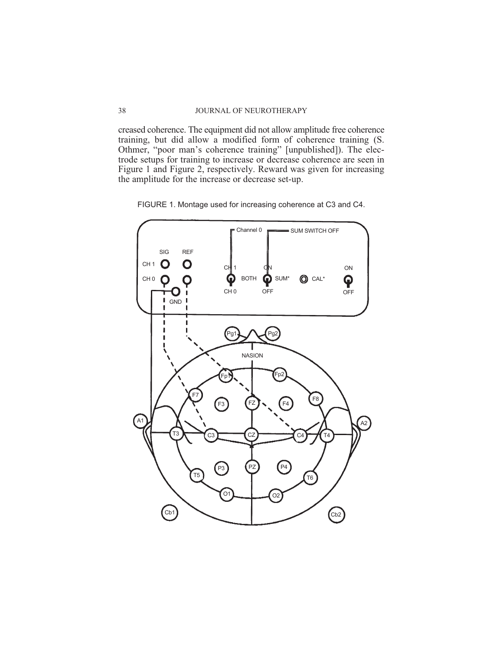creased coherence. The equipment did not allow amplitude free coherence training, but did allow a modified form of coherence training (S. Othmer, "poor man's coherence training" [unpublished]). The electrode setups for training to increase or decrease coherence are seen in Figure 1 and Figure 2, respectively. Reward was given for increasing the amplitude for the increase or decrease set-up.

FIGURE 1. Montage used for increasing coherence at C3 and C4.

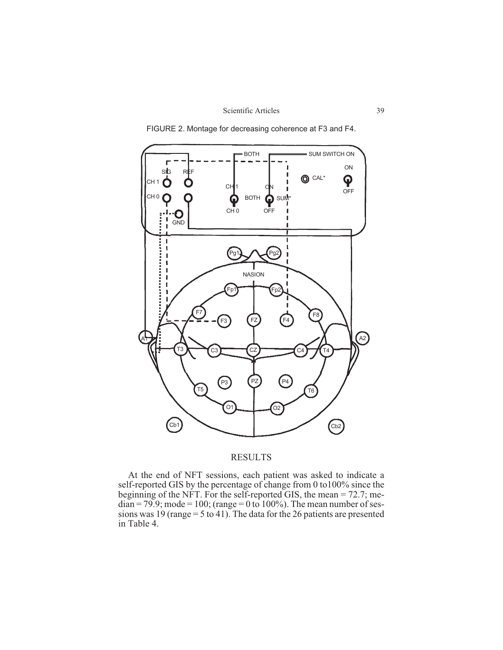



FIGURE 2. Montage for decreasing coherence at F3 and F4.

# *RESULTS*

At the end of NFT sessions, each patient was asked to indicate a self-reported GIS by the percentage of change from 0 to100% since the beginning of the NFT. For the self-reported GIS, the mean = 72.7; me $dian = 79.9$ ; mode = 100; (range = 0 to 100%). The mean number of sessions was 19 (range = 5 to 41). The data for the 26 patients are presented in Table 4.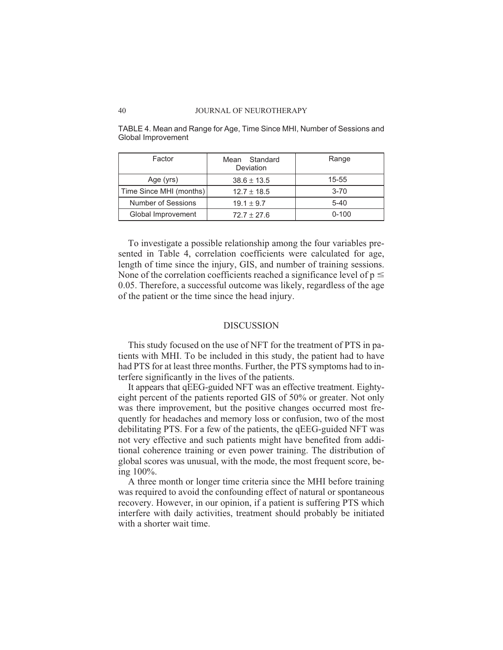| Factor                  | Mean Standard<br>Deviation | Range     |
|-------------------------|----------------------------|-----------|
| Age (yrs)               | $38.6 \pm 13.5$            | $15 - 55$ |
| Time Since MHI (months) | $12.7 \pm 18.5$            | $3 - 70$  |
| Number of Sessions      | $19.1 \pm 9.7$             | $5 - 40$  |
| Global Improvement      | $72.7 + 27.6$              | $0 - 100$ |

TABLE 4. Mean and Range for Age, Time Since MHI, Number of Sessions and Global Improvement

To investigate a possible relationship among the four variables presented in Table 4, correlation coefficients were calculated for age, length of time since the injury, GIS, and number of training sessions. None of the correlation coefficients reached a significance level of  $p \le$ 0.05. Therefore, a successful outcome was likely, regardless of the age of the patient or the time since the head injury.

# *DISCUSSION*

This study focused on the use of NFT for the treatment of PTS in patients with MHI. To be included in this study, the patient had to have had PTS for at least three months. Further, the PTS symptoms had to interfere significantly in the lives of the patients.

It appears that qEEG-guided NFT was an effective treatment. Eightyeight percent of the patients reported GIS of 50% or greater. Not only was there improvement, but the positive changes occurred most frequently for headaches and memory loss or confusion, two of the most debilitating PTS. For a few of the patients, the qEEG-guided NFT was not very effective and such patients might have benefited from additional coherence training or even power training. The distribution of global scores was unusual, with the mode, the most frequent score, being 100%.

A three month or longer time criteria since the MHI before training was required to avoid the confounding effect of natural or spontaneous recovery. However, in our opinion, if a patient is suffering PTS which interfere with daily activities, treatment should probably be initiated with a shorter wait time.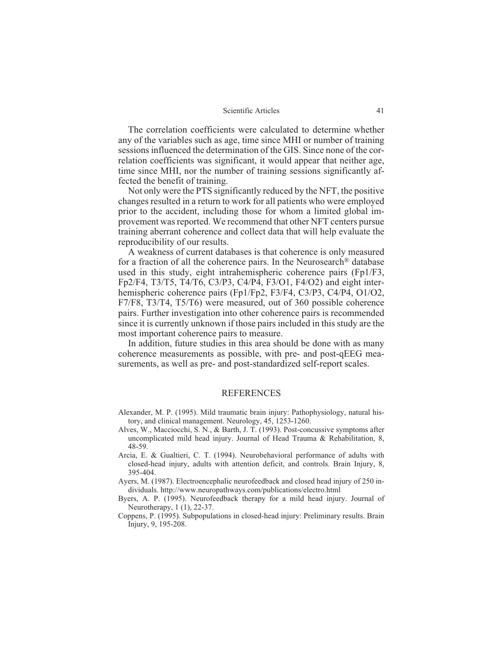The correlation coefficients were calculated to determine whether any of the variables such as age, time since MHI or number of training sessions influenced the determination of the GIS. Since none of the correlation coefficients was significant, it would appear that neither age, time since MHI, nor the number of training sessions significantly affected the benefit of training.

Not only were the PTS significantly reduced by the NFT, the positive changes resulted in a return to work for all patients who were employed prior to the accident, including those for whom a limited global improvement was reported. We recommend that other NFT centers pursue training aberrant coherence and collect data that will help evaluate the reproducibility of our results.

A weakness of current databases is that coherence is only measured for a fraction of all the coherence pairs. In the Neurosearch® database used in this study, eight intrahemispheric coherence pairs (Fp1/F3, Fp2/F4, T3/T5, T4/T6, C3/P3, C4/P4, F3/O1, F4/O2) and eight interhemispheric coherence pairs (Fp1/Fp2, F3/F4, C3/P3, C4/P4, O1/O2, F7/F8, T3/T4, T5/T6) were measured, out of 360 possible coherence pairs. Further investigation into other coherence pairs is recommended since it is currently unknown if those pairs included in this study are the most important coherence pairs to measure.

In addition, future studies in this area should be done with as many coherence measurements as possible, with pre- and post-qEEG measurements, as well as pre- and post-standardized self-report scales.

# REFERENCES

- Alexander, M. P. (1995). Mild traumatic brain injury: Pathophysiology, natural history, and clinical management. *Neurology*, *45*, 1253-1260.
- Alves, W., Macciocchi, S. N., & Barth, J. T. (1993). Post-concussive symptoms after uncomplicated mild head injury. *Journal of Head Trauma & Rehabilitation*, *8*, 48-59.
- Arcia, E. & Gualtieri, C. T. (1994). Neurobehavioral performance of adults with closed-head injury, adults with attention deficit, and controls. *Brain Injury*, *8*, 395-404.
- Ayers, M. (1987). Electroencephalic neurofeedback and closed head injury of 250 individuals. *<http://www.neuropathways.com/publications/electro.html>*
- Byers, A. P. (1995). Neurofeedback therapy for a mild head injury. *Journal of Neurotherapy*, *1* (1), 22-37.
- Coppens, P. (1995). Subpopulations in closed-head injury: Preliminary results. *Brain Injury*, *9*, 195-208.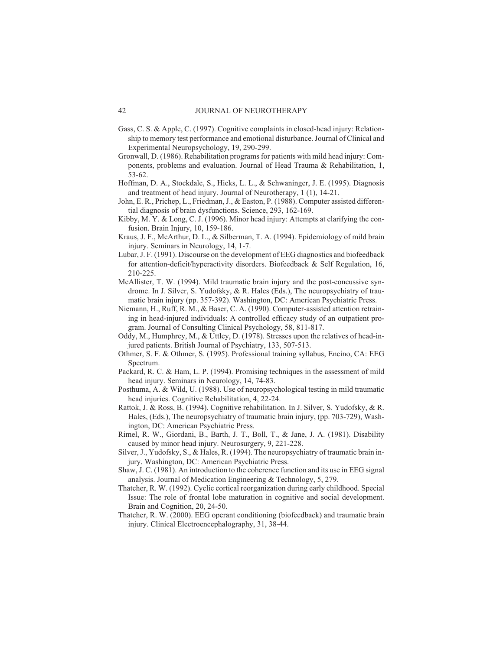- Gass, C. S. & Apple, C. (1997). Cognitive complaints in closed-head injury: Relationship to memory test performance and emotional disturbance.*Journal of Clinical and Experimental Neuropsychology*, *19*, 290-299.
- Gronwall, D. (1986). Rehabilitation programs for patients with mild head injury: Components, problems and evaluation. *Journal of Head Trauma & Rehabilitation*, *1*, 53-62.
- Hoffman, D. A., Stockdale, S., Hicks, L. L., & Schwaninger, J. E. (1995). Diagnosis and treatment of head injury. *Journal of Neurotherapy*, *1* (1), 14-21.
- John, E. R., Prichep, L., Friedman, J., & Easton, P. (1988). Computer assisted differential diagnosis of brain dysfunctions. *Science*, *293*, 162-169.
- Kibby, M. Y. & Long, C. J. (1996). Minor head injury: Attempts at clarifying the confusion. *Brain Injury*, *10*, 159-186.
- Kraus, J. F., McArthur, D. L., & Silberman, T. A. (1994). Epidemiology of mild brain injury. *Seminars in Neurology*, *14*, 1-7.
- Lubar, J. F. (1991). Discourse on the development of EEG diagnostics and biofeedback for attention-deficit/hyperactivity disorders. *Biofeedback & Self Regulation*, *16*, 210-225.
- McAllister, T. W. (1994). Mild traumatic brain injury and the post-concussive syndrome. In J. Silver, S. Yudofsky, & R. Hales (Eds.), *The neuropsychiatry of traumatic brain injury* (pp. 357-392). Washington, DC: American Psychiatric Press.
- Niemann, H., Ruff, R. M., & Baser, C. A. (1990). Computer-assisted attention retraining in head-injured individuals: A controlled efficacy study of an outpatient program. *Journal of Consulting Clinical Psychology*, *58*, 811-817.
- Oddy, M., Humphrey, M., & Uttley, D. (1978). Stresses upon the relatives of head-injured patients. *British Journal of Psychiatry*, *133*, 507-513.
- Othmer, S. F. & Othmer, S. (1995). *Professional training syllabus*, Encino, CA: EEG Spectrum.
- Packard, R. C. & Ham, L. P. (1994). Promising techniques in the assessment of mild head injury. *Seminars in Neurology*, *14*, 74-83.
- Posthuma, A. & Wild, U. (1988). Use of neuropsychological testing in mild traumatic head injuries. *Cognitive Rehabilitation*, *4*, 22-24.
- Rattok, J. & Ross, B. (1994). Cognitive rehabilitation. In J. Silver, S. Yudofsky, & R. Hales, (Eds.), *The neuropsychiatry of traumatic brain injury*, (pp. 703-729), Washington, DC: American Psychiatric Press.
- Rimel, R. W., Giordani, B., Barth, J. T., Boll, T., & Jane, J. A. (1981). Disability caused by minor head injury. *Neurosurgery*, *9*, 221-228.
- Silver, J., Yudofsky, S., & Hales, R. (1994). *The neuropsychiatry of traumatic brain injury*. Washington, DC: American Psychiatric Press.
- Shaw, J. C. (1981). An introduction to the coherence function and its use in EEG signal analysis. *Journal of Medication Engineering & Technology*, *5*, 279.
- Thatcher, R. W. (1992). Cyclic cortical reorganization during early childhood. Special Issue: The role of frontal lobe maturation in cognitive and social development. *Brain and Cognition*, *20*, 24-50.
- Thatcher, R. W. (2000). EEG operant conditioning (biofeedback) and traumatic brain injury. *Clinical Electroencephalography*, *31*, 38-44.